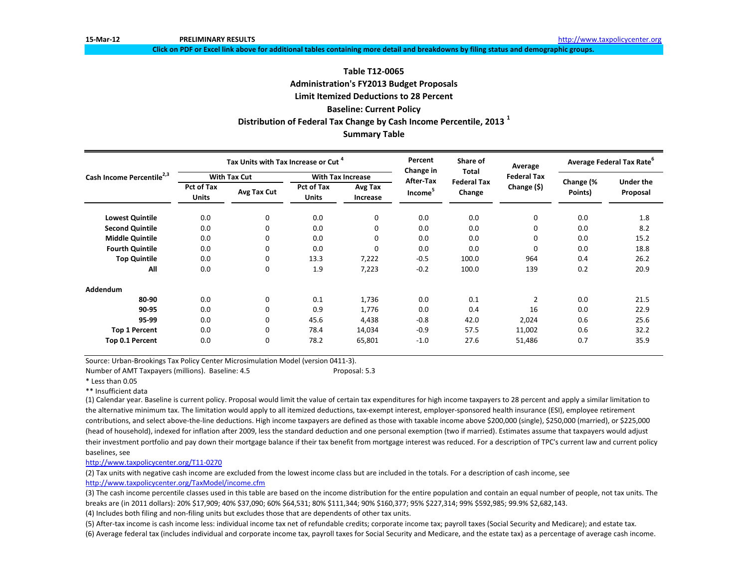**Click on PDF or Excel link above for additional tables containing more detail and breakdowns by filing status and demographic groups.**

### **Distribution of Federal Tax Change by Cash Income Percentile, 2013 <sup>1</sup> Summary Table Table T12-0065 Administration's FY2013 Budget Proposals Limit Itemized Deductions to 28 Percent Baseline: Current Policy**

|                                       |                                   | Tax Units with Tax Increase or Cut <sup>4</sup> |                                   |                          | Percent<br>Change in | Share of<br><b>Total</b>     | Average            | <b>Average Federal Tax Rate<sup>o</sup></b> |                              |  |
|---------------------------------------|-----------------------------------|-------------------------------------------------|-----------------------------------|--------------------------|----------------------|------------------------------|--------------------|---------------------------------------------|------------------------------|--|
| Cash Income Percentile <sup>2,3</sup> |                                   | <b>With Tax Cut</b>                             |                                   | <b>With Tax Increase</b> | <b>After-Tax</b>     |                              | <b>Federal Tax</b> | Change (%<br>Points)                        |                              |  |
|                                       | <b>Pct of Tax</b><br><b>Units</b> | Avg Tax Cut                                     | <b>Pct of Tax</b><br><b>Units</b> | Avg Tax<br>Increase      | Income <sup>5</sup>  | <b>Federal Tax</b><br>Change | Change (\$)        |                                             | <b>Under the</b><br>Proposal |  |
| <b>Lowest Quintile</b>                | 0.0                               | 0                                               | 0.0                               | 0                        | 0.0                  | 0.0                          | $\pmb{0}$          | 0.0                                         | 1.8                          |  |
| <b>Second Quintile</b>                | 0.0                               | 0                                               | 0.0                               | 0                        | 0.0                  | 0.0                          | 0                  | 0.0                                         | 8.2                          |  |
| <b>Middle Quintile</b>                | 0.0                               | 0                                               | 0.0                               | $\Omega$                 | 0.0                  | 0.0                          | 0                  | 0.0                                         | 15.2                         |  |
| <b>Fourth Quintile</b>                | 0.0                               | 0                                               | 0.0                               | $\Omega$                 | 0.0                  | 0.0                          | 0                  | 0.0                                         | 18.8                         |  |
| <b>Top Quintile</b>                   | 0.0                               | 0                                               | 13.3                              | 7,222                    | $-0.5$               | 100.0                        | 964                | 0.4                                         | 26.2                         |  |
| All                                   | 0.0                               | $\mathbf 0$                                     | 1.9                               | 7,223                    | $-0.2$               | 100.0                        | 139                | 0.2                                         | 20.9                         |  |
| <b>Addendum</b>                       |                                   |                                                 |                                   |                          |                      |                              |                    |                                             |                              |  |
| 80-90                                 | 0.0                               | $\mathbf 0$                                     | 0.1                               | 1,736                    | 0.0                  | 0.1                          | $\overline{2}$     | 0.0                                         | 21.5                         |  |
| 90-95                                 | 0.0                               | 0                                               | 0.9                               | 1,776                    | 0.0                  | 0.4                          | 16                 | 0.0                                         | 22.9                         |  |
| 95-99                                 | 0.0                               | 0                                               | 45.6                              | 4,438                    | $-0.8$               | 42.0                         | 2,024              | 0.6                                         | 25.6                         |  |
| <b>Top 1 Percent</b>                  | 0.0                               | 0                                               | 78.4                              | 14,034                   | $-0.9$               | 57.5                         | 11,002             | 0.6                                         | 32.2                         |  |
| Top 0.1 Percent                       | 0.0                               | 0                                               | 78.2                              | 65,801                   | $-1.0$               | 27.6                         | 51,486             | 0.7                                         | 35.9                         |  |

Source: Urban-Brookings Tax Policy Center Microsimulation Model (version 0411-3).

Number of AMT Taxpayers (millions). Baseline: 4.5 Proposal: 5.3

\* Less than 0.05

\*\* Insufficient data

(1) Calendar year. Baseline is current policy. Proposal would limit the value of certain tax expenditures for high income taxpayers to 28 percent and apply a similar limitation to the alternative minimum tax. The limitation would apply to all itemized deductions, tax-exempt interest, employer-sponsored health insurance (ESI), employee retirement contributions, and select above-the-line deductions. High income taxpayers are defined as those with taxable income above \$200,000 (single), \$250,000 (married), or \$225,000 (head of household), indexed for inflation after 2009, less the standard deduction and one personal exemption (two if married). Estimates assume that taxpayers would adjust their investment portfolio and pay down their mortgage balance if their tax benefit from mortgage interest was reduced. For a description of TPC's current law and current policy baselines, see

[http://www.taxpolicycente](http://www.taxpolicycenter.org/T11-0270)r.org/T11-0270

(2) Tax units with negative cash income are excluded from the lowest income class but are included in the totals. For a description of cash income, see [http://www.taxpolicycente](http://www.taxpolicycenter.org/TaxModel/income.cfm)r.org/TaxModel/income.cfm

(3) The cash income percentile classes used in this table are based on the income distribution for the entire population and contain an equal number of people, not tax units. The breaks are (in 2011 dollars): 20% \$17,909; 40% \$37,090; 60% \$64,531; 80% \$111,344; 90% \$160,377; 95% \$227,314; 99% \$592,985; 99.9% \$2,682,143. (4) Includes both filing and non-filing units but excludes those that are dependents of other tax units.

(6) Average federal tax (includes individual and corporate income tax, payroll taxes for Social Security and Medicare, and the estate tax) as a percentage of average cash income. (5) After-tax income is cash income less: individual income tax net of refundable credits; corporate income tax; payroll taxes (Social Security and Medicare); and estate tax.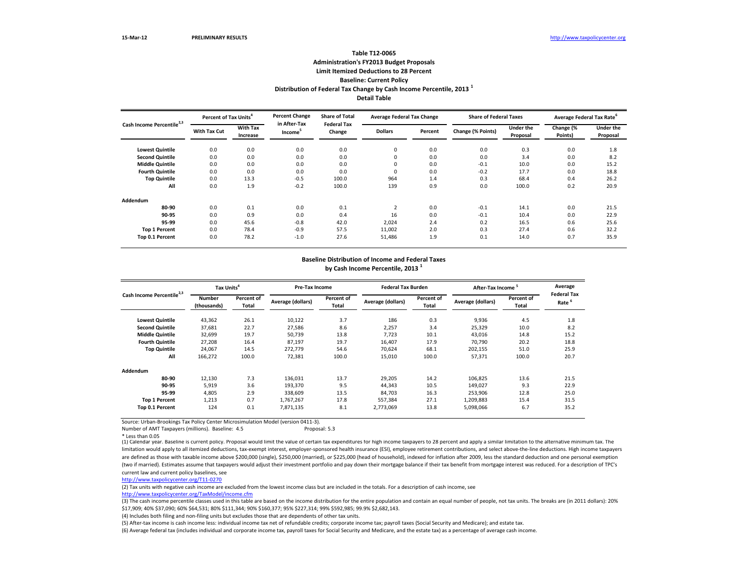Number of AMT Taxpayers (millions). Baseline: 4.5 Proposal: 5.3

\* Less than 0.05

| Cash Income Percentile <sup>2,3</sup> |                     | <b>Percent of Tax Units<sup>4</sup></b> |                                     | <b>Share of Total</b>        | <b>Average Federal Tax Change</b> |         | <b>Share of Federal Taxes</b> |                              | Average Federal Tax Rate <sup>o</sup> |                              |
|---------------------------------------|---------------------|-----------------------------------------|-------------------------------------|------------------------------|-----------------------------------|---------|-------------------------------|------------------------------|---------------------------------------|------------------------------|
|                                       | <b>With Tax Cut</b> | <b>With Tax</b><br>Increase             | in After-Tax<br>Income <sup>3</sup> | <b>Federal Tax</b><br>Change | <b>Dollars</b>                    | Percent | Change (% Points)             | <b>Under the</b><br>Proposal | Change (%<br>Points)                  | <b>Under the</b><br>Proposal |
| <b>Lowest Quintile</b>                | 0.0                 | 0.0                                     | 0.0                                 | 0.0                          | $\pmb{0}$                         | 0.0     | 0.0                           | 0.3                          | 0.0                                   | 1.8                          |
| <b>Second Quintile</b>                | 0.0                 | 0.0                                     | 0.0                                 | 0.0                          | 0                                 | 0.0     | 0.0                           | 3.4                          | 0.0                                   | 8.2                          |
| <b>Middle Quintile</b>                | 0.0                 | 0.0                                     | 0.0                                 | 0.0                          | 0                                 | 0.0     | $-0.1$                        | 10.0                         | 0.0                                   | 15.2                         |
| <b>Fourth Quintile</b>                | 0.0                 | 0.0                                     | 0.0                                 | 0.0                          | $\overline{0}$                    | 0.0     | $-0.2$                        | 17.7                         | 0.0                                   | 18.8                         |
| <b>Top Quintile</b>                   | 0.0                 | 13.3                                    | $-0.5$                              | 100.0                        | 964                               | 1.4     | 0.3                           | 68.4                         | 0.4                                   | 26.2                         |
| All                                   | 0.0                 | 1.9                                     | $-0.2$                              | 100.0                        | 139                               | 0.9     | 0.0                           | 100.0                        | 0.2                                   | 20.9                         |
| Addendum                              |                     |                                         |                                     |                              |                                   |         |                               |                              |                                       |                              |
| 80-90                                 | 0.0                 | 0.1                                     | 0.0                                 | 0.1                          | $\overline{2}$                    | 0.0     | $-0.1$                        | 14.1                         | 0.0                                   | 21.5                         |
| 90-95                                 | 0.0                 | 0.9                                     | 0.0                                 | 0.4                          | 16                                | 0.0     | $-0.1$                        | 10.4                         | 0.0                                   | 22.9                         |
| 95-99                                 | 0.0                 | 45.6                                    | $-0.8$                              | 42.0                         | 2,024                             | 2.4     | 0.2                           | 16.5                         | 0.6                                   | 25.6                         |
| <b>Top 1 Percent</b>                  | 0.0                 | 78.4                                    | $-0.9$                              | 57.5                         | 11,002                            | 2.0     | 0.3                           | 27.4                         | 0.6                                   | 32.2                         |
| Top 0.1 Percent                       | 0.0                 | 78.2                                    | $-1.0$                              | 27.6                         | 51,486                            | 1.9     | 0.1                           | 14.0                         | 0.7                                   | 35.9                         |

 $\overline{3}$ ) The cash income percentile classes used in this table are based on the income distribution for the entire population and contain an equal number of people, not tax units. The breaks are (in 2011 dollars): 20% \$17,909; 40% \$37,090; 60% \$64,531; 80% \$111,344; 90% \$160,377; 95% \$227,314; 99% \$592,985; 99.9% \$2,682,143.

(1) Calendar year. Baseline is current policy. Proposal would limit the value of certain tax expenditures for high income taxpayers to 28 percent and apply a similar limitation to the alternative minimum tax. The limitation would apply to all itemized deductions, tax-exempt interest, employer-sponsored health insurance (ESI), employee retirement contributions, and select above-the-line deductions. High income taxpayers are defined as those with taxable income above \$200,000 (single), \$250,000 (married), or \$225,000 (head of household), indexed for inflation after 2009, less the standard deduction and one personal exemption (two if married). Estimates assume that taxpayers would adjust their investment portfolio and pay down their mortgage balance if their tax benefit from mortgage interest was reduced. For a description of TPC's current law and current policy baselines, see

### **Distribution of Federal Tax Change by Cash Income Percentile, 2013 <sup>1</sup> Detail Table Table T12-0065 Administration's FY2013 Budget Proposals Limit Itemized Deductions to 28 Percent Baseline: Current Policy**

| Cash Income Percentile <sup>2,3</sup> | Tax Units <sup>4</sup>       |                     | <b>Pre-Tax Income</b> |                            | <b>Federal Tax Burden</b> |                     | After-Tax Income <sup>5</sup> |                                   | Average                                 |
|---------------------------------------|------------------------------|---------------------|-----------------------|----------------------------|---------------------------|---------------------|-------------------------------|-----------------------------------|-----------------------------------------|
|                                       | <b>Number</b><br>(thousands) | Percent of<br>Total | Average (dollars)     | Percent of<br><b>Total</b> | Average (dollars)         | Percent of<br>Total | Average (dollars)             | <b>Percent of</b><br><b>Total</b> | <b>Federal Tax</b><br>Rate <sup>6</sup> |
| <b>Lowest Quintile</b>                | 43,362                       | 26.1                | 10,122                | 3.7                        | 186                       | 0.3                 | 9,936                         | 4.5                               | 1.8                                     |
| <b>Second Quintile</b>                | 37,681                       | 22.7                | 27,586                | 8.6                        | 2,257                     | 3.4                 | 25,329                        | 10.0                              | 8.2                                     |
| <b>Middle Quintile</b>                | 32,699                       | 19.7                | 50,739                | 13.8                       | 7,723                     | 10.1                | 43,016                        | 14.8                              | 15.2                                    |
| <b>Fourth Quintile</b>                | 27,208                       | 16.4                | 87,197                | 19.7                       | 16,407                    | 17.9                | 70,790                        | 20.2                              | 18.8                                    |
| <b>Top Quintile</b>                   | 24,067                       | 14.5                | 272,779               | 54.6                       | 70,624                    | 68.1                | 202,155                       | 51.0                              | 25.9                                    |
| All                                   | 166,272                      | 100.0               | 72,381                | 100.0                      | 15,010                    | 100.0               | 57,371                        | 100.0                             | 20.7                                    |
| Addendum                              |                              |                     |                       |                            |                           |                     |                               |                                   |                                         |
| 80-90                                 | 12,130                       | 7.3                 | 136,031               | 13.7                       | 29,205                    | 14.2                | 106,825                       | 13.6                              | 21.5                                    |
| 90-95                                 | 5,919                        | 3.6                 | 193,370               | 9.5                        | 44,343                    | 10.5                | 149,027                       | 9.3                               | 22.9                                    |
| 95-99                                 | 4,805                        | 2.9                 | 338,609               | 13.5                       | 84,703                    | 16.3                | 253,906                       | 12.8                              | 25.0                                    |
| <b>Top 1 Percent</b>                  | 1,213                        | 0.7                 | 1,767,267             | 17.8                       | 557,384                   | 27.1                | 1,209,883                     | 15.4                              | 31.5                                    |
| Top 0.1 Percent                       | 124                          | 0.1                 | 7,871,135             | 8.1                        | 2,773,069                 | 13.8                | 5,098,066                     | 6.7                               | 35.2                                    |

## **Baseline Distribution of Income and Federal Taxes**

**by Cash Income Percentile, 2013 <sup>1</sup>**

[http://www.taxpolicycente](http://www.taxpolicycenter.org/T11-0270)r.org/T11-0270

(2) Tax units with negative cash income are excluded from the lowest income class but are included in the totals. For a description of cash income, see

[http://www.taxpolicycente](http://www.taxpolicycenter.org/TaxModel/income.cfm)r.org/TaxModel/income.cfm

(6) Average federal tax (includes individual and corporate income tax, payroll taxes for Social Security and Medicare, and the estate tax) as a percentage of average cash income. (5) After-tax income is cash income less: individual income tax net of refundable credits; corporate income tax; payroll taxes (Social Security and Medicare); and estate tax.

(4) Includes both filing and non-filing units but excludes those that are dependents of other tax units.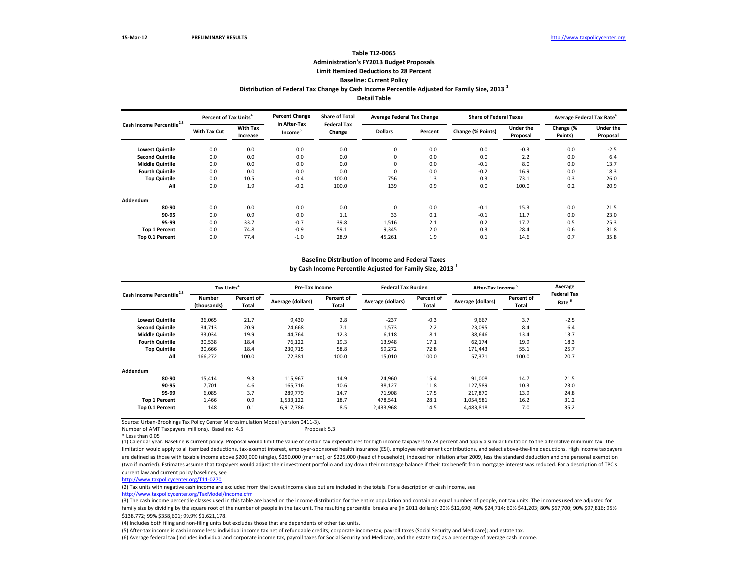Number of AMT Taxpayers (millions). Baseline: 4.5 Proposal: 5.3

\* Less than 0.05

**Lowest Quintile** 0.0 0.0 0.0 0.0 0 0.0 0.0 -0.3 0.0 -2.5 **Second Quintile**  $\hspace{1cm} 0.0 \hspace{1cm} 0.0 \hspace{3cm} 0.0 \hspace{3cm} 0.0 \hspace{1cm} 0.0 \hspace{1cm} 0.0 \hspace{1cm} 0.0 \hspace{1cm} 0.0 \hspace{1cm} 0.0 \hspace{1cm} 0.0 \hspace{1cm} 0.0 \hspace{1cm} 0.0 \hspace{1cm} 0.0 \hspace{1cm} 0.0 \hspace{1cm} 0.0 \hspace{1cm} 0.0 \hspace{1cm} 0.0 \hspace{1cm} 0.0 \hspace{1$ **Middle Quintile** 0.0 0.0 0.0 0.0 0 0.0 -0.1 8.0 0.0 13.7 **Fourth Quintile** 0.0 0.0 0.0 0.0 0 0.0 -0.2 16.9 0.0 18.3 **Top Quintile** 0.0 10.5 -0.4 100.0 756 1.3 0.3 73.1 0.3 26.0 **All** 0.0 1.9 -0.2 100.0 139 0.9 0.0 100.0 0.2 20.9 **Addendum 80-90** 0.0 0.0 0.0 0.0 0 0.0 -0.1 15.3 0.0 21.5 **90-95** 0.0 0.9 0.0 1.1 33 0.1 -0.1 11.7 0.0 23.0 **95-99** 0.0 33.7 -0.7 39.8 1,516 2.1 0.2 17.7 0.5 25.3 **Top 1 Percent** 0.0 74.8 -0.9 59.1 9,345 2.0 0.3 28.4 0.6 31.8 **Top 0.1 Percent** 0.0 77.4 -1.0 28.9 45,261 1.9 0.1 14.6 0.7 35.8 **Percent of Tax Units<sup>4</sup> Percent Change in After-Tax Income<sup>5</sup> Share of Total Federal Tax Change Average Federal Tax Change <b>Share of Federal Tax With Tax Cut With Tax Increase Dollars Percent Change (% Points) Under Prop Cash Income Percentile2,3**

(1) Calendar year. Baseline is current policy. Proposal would limit the value of certain tax expenditures for high income taxpayers to 28 percent and apply a similar limitation to the alternative minimum tax. The limitation would apply to all itemized deductions, tax-exempt interest, employer-sponsored health insurance (ESI), employee retirement contributions, and select above-the-line deductions. High income taxpayers are defined as those with taxable income above \$200,000 (single), \$250,000 (married), or \$225,000 (head of household), indexed for inflation after 2009, less the standard deduction and one personal exemption (two if married). Estimates assume that taxpayers would adjust their investment portfolio and pay down their mortgage balance if their tax benefit from mortgage interest was reduced. For a description of TPC's current law and current policy baselines, see

(3) The cash income percentile classes used in this table are based on the income distribution for the entire population and contain an equal number of people, not tax units. The incomes used are adjusted for family size by dividing by the square root of the number of people in the tax unit. The resulting percentile breaks are (in 2011 dollars): 20% \$12,690; 40% \$24,714; 60% \$41,203; 80% \$67,700; 90% \$97,816; 95% \$138,772; 99% \$358,601; 99.9% \$1,621,178.

### **Distribution of Federal Tax Change by Cash Income Percentile Adjusted for Family Size, 2013 <sup>1</sup> Detail Table Table T12-0065 Administration's FY2013 Budget Proposals Limit Itemized Deductions to 28 Percent Baseline: Current Policy**

| Cash Income Percentile <sup>2,3</sup> | Tax Units <sup>4</sup>       |                                   | <b>Pre-Tax Income</b> |                            | <b>Federal Tax Burden</b> |                     | After-Tax Income <sup>5</sup> |                            | Average<br><b>Federal Tax</b> |
|---------------------------------------|------------------------------|-----------------------------------|-----------------------|----------------------------|---------------------------|---------------------|-------------------------------|----------------------------|-------------------------------|
|                                       | <b>Number</b><br>(thousands) | <b>Percent of</b><br><b>Total</b> | Average (dollars)     | Percent of<br><b>Total</b> | Average (dollars)         | Percent of<br>Total | Average (dollars)             | Percent of<br><b>Total</b> | Rate <sup>6</sup>             |
| <b>Lowest Quintile</b>                | 36,065                       | 21.7                              | 9,430                 | 2.8                        | $-237$                    | $-0.3$              | 9,667                         | 3.7                        | $-2.5$                        |
| <b>Second Quintile</b>                | 34,713                       | 20.9                              | 24,668                | 7.1                        | 1,573                     | 2.2                 | 23,095                        | 8.4                        | 6.4                           |
| <b>Middle Quintile</b>                | 33,034                       | 19.9                              | 44,764                | 12.3                       | 6,118                     | 8.1                 | 38,646                        | 13.4                       | 13.7                          |
| <b>Fourth Quintile</b>                | 30,538                       | 18.4                              | 76,122                | 19.3                       | 13,948                    | 17.1                | 62,174                        | 19.9                       | 18.3                          |
| <b>Top Quintile</b>                   | 30,666                       | 18.4                              | 230,715               | 58.8                       | 59,272                    | 72.8                | 171,443                       | 55.1                       | 25.7                          |
| All                                   | 166,272                      | 100.0                             | 72,381                | 100.0                      | 15,010                    | 100.0               | 57,371                        | 100.0                      | 20.7                          |
| Addendum                              |                              |                                   |                       |                            |                           |                     |                               |                            |                               |
| 80-90                                 | 15,414                       | 9.3                               | 115,967               | 14.9                       | 24,960                    | 15.4                | 91,008                        | 14.7                       | 21.5                          |
| 90-95                                 | 7,701                        | 4.6                               | 165,716               | 10.6                       | 38,127                    | 11.8                | 127,589                       | 10.3                       | 23.0                          |
| 95-99                                 | 6,085                        | 3.7                               | 289,779               | 14.7                       | 71,908                    | 17.5                | 217,870                       | 13.9                       | 24.8                          |
| <b>Top 1 Percent</b>                  | 1,466                        | 0.9                               | 1,533,122             | 18.7                       | 478,541                   | 28.1                | 1,054,581                     | 16.2                       | 31.2                          |
| Top 0.1 Percent                       | 148                          | 0.1                               | 6,917,786             | 8.5                        | 2,433,968                 | 14.5                | 4,483,818                     | 7.0                        | 35.2                          |

#### **Baseline Distribution of Income and Federal Taxes**

| 9Ś     | Average Federal Tax Rate <sup>6</sup> |                  |
|--------|---------------------------------------|------------------|
| er the | Change (%                             | <b>Under the</b> |
| posal  | Points)                               | Proposal         |
|        |                                       |                  |
| $-0.3$ | 0.0                                   | $-2.5$           |
| 2.2    | 0.0                                   | 6.4              |
| 8.0    | 0.0                                   | 13.7             |
| 16.9   | 0.0                                   | 18.3             |
| 73.1   | 0.3                                   | 26.0             |
| 00.0   | 0.2                                   | 20.9             |
|        |                                       |                  |
|        |                                       |                  |
| 15.3   | 0.0                                   | 21.5             |
| 11.7   | 0.0                                   | 23.0             |
| 17.7   | 0.5                                   | 25.3             |
| 28.4   | 0.6                                   | 31.8             |
| 14.6   | 0.7                                   | 35.8             |
|        |                                       |                  |

**by Cash Income Percentile Adjusted for Family Size, 2013 <sup>1</sup>**

[http://www.taxpolicycente](http://www.taxpolicycenter.org/T11-0270)r.org/T11-0270

(2) Tax units with negative cash income are excluded from the lowest income class but are included in the totals. For a description of cash income, see

[http://www.taxpolicycente](http://www.taxpolicycenter.org/TaxModel/income.cfm)r.org/TaxModel/income.cfm

(6) Average federal tax (includes individual and corporate income tax, payroll taxes for Social Security and Medicare, and the estate tax) as a percentage of average cash income. (5) After-tax income is cash income less: individual income tax net of refundable credits; corporate income tax; payroll taxes (Social Security and Medicare); and estate tax.

(4) Includes both filing and non-filing units but excludes those that are dependents of other tax units.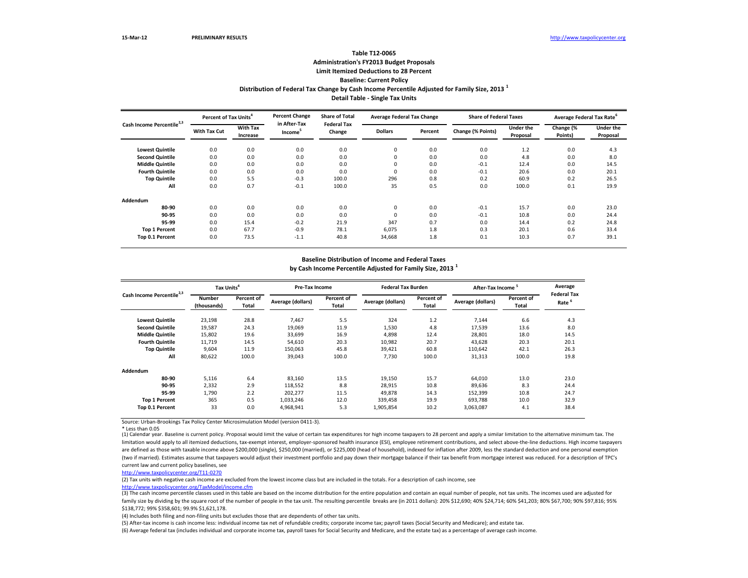\* Less than 0.05

#### **Baseline Distribution of Income and Federal Taxes**

| Cash Income Percentile <sup>2,3</sup> | Percent of Tax Units <sup>4</sup> |                             | <b>Percent Change</b>               | <b>Share of Total</b><br><b>Federal Tax</b> | <b>Average Federal Tax Change</b> |         | <b>Share of Federal Taxes</b> |                       | Average Federal Tax Rate <sup>o</sup> |                              |  |
|---------------------------------------|-----------------------------------|-----------------------------|-------------------------------------|---------------------------------------------|-----------------------------------|---------|-------------------------------|-----------------------|---------------------------------------|------------------------------|--|
|                                       | <b>With Tax Cut</b>               | <b>With Tax</b><br>Increase | in After-Tax<br>Income <sup>5</sup> | Change                                      | <b>Dollars</b>                    | Percent | Change (% Points)             | Under the<br>Proposal | Change (%<br>Points)                  | <b>Under the</b><br>Proposal |  |
| <b>Lowest Quintile</b>                | 0.0                               | 0.0                         | 0.0                                 | 0.0                                         | $\mathbf 0$                       | 0.0     | 0.0                           | 1.2                   | 0.0                                   | 4.3                          |  |
| <b>Second Quintile</b>                | 0.0                               | 0.0                         | 0.0                                 | 0.0                                         | 0                                 | 0.0     | 0.0                           | 4.8                   | 0.0                                   | 8.0                          |  |
| <b>Middle Quintile</b>                | 0.0                               | 0.0                         | 0.0                                 | 0.0                                         | 0                                 | 0.0     | $-0.1$                        | 12.4                  | 0.0                                   | 14.5                         |  |
| <b>Fourth Quintile</b>                | 0.0                               | 0.0                         | 0.0                                 | 0.0                                         | 0                                 | 0.0     | $-0.1$                        | 20.6                  | 0.0                                   | 20.1                         |  |
| <b>Top Quintile</b>                   | 0.0                               | 5.5                         | $-0.3$                              | 100.0                                       | 296                               | 0.8     | 0.2                           | 60.9                  | 0.2                                   | 26.5                         |  |
| All                                   | 0.0                               | 0.7                         | $-0.1$                              | 100.0                                       | 35                                | 0.5     | 0.0                           | 100.0                 | 0.1                                   | 19.9                         |  |
| <b>Addendum</b>                       |                                   |                             |                                     |                                             |                                   |         |                               |                       |                                       |                              |  |
| 80-90                                 | 0.0                               | 0.0                         | 0.0                                 | 0.0                                         | 0                                 | 0.0     | $-0.1$                        | 15.7                  | 0.0                                   | 23.0                         |  |
| 90-95                                 | 0.0                               | 0.0                         | 0.0                                 | 0.0                                         | 0                                 | 0.0     | $-0.1$                        | 10.8                  | 0.0                                   | 24.4                         |  |
| 95-99                                 | 0.0                               | 15.4                        | $-0.2$                              | 21.9                                        | 347                               | 0.7     | 0.0                           | 14.4                  | 0.2                                   | 24.8                         |  |
| <b>Top 1 Percent</b>                  | 0.0                               | 67.7                        | $-0.9$                              | 78.1                                        | 6,075                             | 1.8     | 0.3                           | 20.1                  | 0.6                                   | 33.4                         |  |
| Top 0.1 Percent                       | 0.0                               | 73.5                        | $-1.1$                              | 40.8                                        | 34,668                            | 1.8     | 0.1                           | 10.3                  | 0.7                                   | 39.1                         |  |

(1) Calendar year. Baseline is current policy. Proposal would limit the value of certain tax expenditures for high income taxpayers to 28 percent and apply a similar limitation to the alternative minimum tax. The limitation would apply to all itemized deductions, tax-exempt interest, employer-sponsored health insurance (ESI), employee retirement contributions, and select above-the-line deductions. High income taxpayers are defined as those with taxable income above \$200,000 (single), \$250,000 (married), or \$225,000 (head of household), indexed for inflation after 2009, less the standard deduction and one personal exemption (two if married). Estimates assume that taxpayers would adjust their investment portfolio and pay down their mortgage balance if their tax benefit from mortgage interest was reduced. For a description of TPC's current law and current policy baselines, see

(3) The cash income percentile classes used in this table are based on the income distribution for the entire population and contain an equal number of people, not tax units. The incomes used are adjusted for family size by dividing by the square root of the number of people in the tax unit. The resulting percentile breaks are (in 2011 dollars): 20% \$12,690; 40% \$24,714; 60% \$41,203; 80% \$67,700; 90% \$97,816; 95% \$138,772; 99% \$358,601; 99.9% \$1,621,178.

|                                       | Tax Units <sup>4</sup>       |                     | <b>Pre-Tax Income</b> |                            | <b>Federal Tax Burden</b> |                     | After-Tax Income <sup>5</sup> |                     | Average                                 |
|---------------------------------------|------------------------------|---------------------|-----------------------|----------------------------|---------------------------|---------------------|-------------------------------|---------------------|-----------------------------------------|
| Cash Income Percentile <sup>2,3</sup> | <b>Number</b><br>(thousands) | Percent of<br>Total | Average (dollars)     | Percent of<br><b>Total</b> | Average (dollars)         | Percent of<br>Total | Average (dollars)             | Percent of<br>Total | <b>Federal Tax</b><br>Rate <sup>6</sup> |
| <b>Lowest Quintile</b>                | 23,198                       | 28.8                | 7,467                 | 5.5                        | 324                       | 1.2                 | 7,144                         | 6.6                 | 4.3                                     |
| <b>Second Quintile</b>                | 19,587                       | 24.3                | 19,069                | 11.9                       | 1,530                     | 4.8                 | 17,539                        | 13.6                | 8.0                                     |
| <b>Middle Quintile</b>                | 15,802                       | 19.6                | 33,699                | 16.9                       | 4,898                     | 12.4                | 28,801                        | 18.0                | 14.5                                    |
| <b>Fourth Quintile</b>                | 11,719                       | 14.5                | 54,610                | 20.3                       | 10,982                    | 20.7                | 43,628                        | 20.3                | 20.1                                    |
| <b>Top Quintile</b>                   | 9,604                        | 11.9                | 150,063               | 45.8                       | 39,421                    | 60.8                | 110,642                       | 42.1                | 26.3                                    |
| All                                   | 80,622                       | 100.0               | 39,043                | 100.0                      | 7,730                     | 100.0               | 31,313                        | 100.0               | 19.8                                    |
| Addendum                              |                              |                     |                       |                            |                           |                     |                               |                     |                                         |
| 80-90                                 | 5,116                        | 6.4                 | 83,160                | 13.5                       | 19,150                    | 15.7                | 64,010                        | 13.0                | 23.0                                    |
| 90-95                                 | 2,332                        | 2.9                 | 118,552               | 8.8                        | 28,915                    | 10.8                | 89,636                        | 8.3                 | 24.4                                    |
| 95-99                                 | 1,790                        | 2.2                 | 202,277               | 11.5                       | 49,878                    | 14.3                | 152,399                       | 10.8                | 24.7                                    |
| <b>Top 1 Percent</b>                  | 365                          | 0.5                 | 1,033,246             | 12.0                       | 339,458                   | 19.9                | 693,788                       | 10.0                | 32.9                                    |
| Top 0.1 Percent                       | 33                           | 0.0                 | 4,968,941             | 5.3                        | 1,905,854                 | 10.2                | 3,063,087                     | 4.1                 | 38.4                                    |

### **Distribution of Federal Tax Change by Cash Income Percentile Adjusted for Family Size, 2013 <sup>1</sup> Detail Table - Single Tax Units Table T12-0065 Administration's FY2013 Budget Proposals Limit Itemized Deductions to 28 Percent Baseline: Current Policy**

**by Cash Income Percentile Adjusted for Family Size, 2013 <sup>1</sup>**

(2) Tax units with negative cash income are excluded from the lowest income class but are included in the totals. For a description of cash income, see [http://www.taxpolicycente](http://www.taxpolicycenter.org/TaxModel/income.cfm)r.org/TaxModel/income.cfm

(4) Includes both filing and non-filing units but excludes those that are dependents of other tax units.

(5) After-tax income is cash income less: individual income tax net of refundable credits; corporate income tax; payroll taxes (Social Security and Medicare); and estate tax. (6) Average federal tax (includes individual and corporate income tax, payroll taxes for Social Security and Medicare, and the estate tax) as a percentage of average cash income.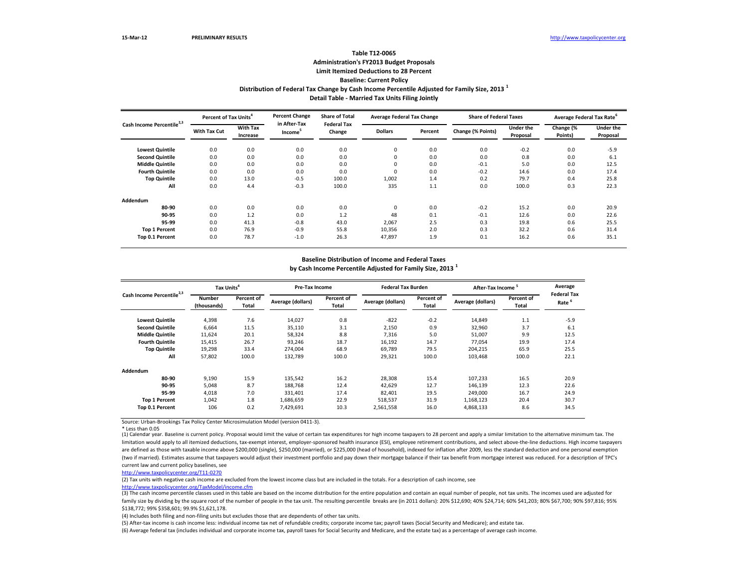\* Less than 0.05

#### **Baseline Distribution of Income and Federal Taxes**

|                                       | Percent of Tax Units <sup>4</sup> |                                    | <b>Percent Change</b>               | <b>Share of Total</b>        | <b>Average Federal Tax Change</b> |         | <b>Share of Federal Taxes</b> |                              | Average Federal Tax Rate <sup>b</sup> |                       |
|---------------------------------------|-----------------------------------|------------------------------------|-------------------------------------|------------------------------|-----------------------------------|---------|-------------------------------|------------------------------|---------------------------------------|-----------------------|
| Cash Income Percentile <sup>2,3</sup> | <b>With Tax Cut</b>               | <b>With Tax</b><br><b>Increase</b> | in After-Tax<br>Income <sup>5</sup> | <b>Federal Tax</b><br>Change | <b>Dollars</b>                    | Percent | Change (% Points)             | <b>Under the</b><br>Proposal | Change (%<br>Points)                  | Under the<br>Proposal |
| <b>Lowest Quintile</b>                | 0.0                               | 0.0                                | 0.0                                 | 0.0                          | 0                                 | 0.0     | 0.0                           | $-0.2$                       | 0.0                                   | $-5.9$                |
| <b>Second Quintile</b>                | 0.0                               | 0.0                                | 0.0                                 | 0.0                          | 0                                 | 0.0     | 0.0                           | 0.8                          | 0.0                                   | 6.1                   |
| <b>Middle Quintile</b>                | 0.0                               | 0.0                                | 0.0                                 | 0.0                          | 0                                 | 0.0     | $-0.1$                        | 5.0                          | 0.0                                   | 12.5                  |
| <b>Fourth Quintile</b>                | 0.0                               | 0.0                                | 0.0                                 | 0.0                          | 0                                 | 0.0     | $-0.2$                        | 14.6                         | 0.0                                   | 17.4                  |
| <b>Top Quintile</b>                   | 0.0                               | 13.0                               | $-0.5$                              | 100.0                        | 1,002                             | 1.4     | 0.2                           | 79.7                         | 0.4                                   | 25.8                  |
| All                                   | 0.0                               | 4.4                                | $-0.3$                              | 100.0                        | 335                               | 1.1     | 0.0                           | 100.0                        | 0.3                                   | 22.3                  |
| Addendum                              |                                   |                                    |                                     |                              |                                   |         |                               |                              |                                       |                       |
| 80-90                                 | 0.0                               | 0.0                                | 0.0                                 | 0.0                          | 0                                 | 0.0     | $-0.2$                        | 15.2                         | 0.0                                   | 20.9                  |
| 90-95                                 | 0.0                               | 1.2                                | 0.0                                 | 1.2                          | 48                                | 0.1     | $-0.1$                        | 12.6                         | 0.0                                   | 22.6                  |
| 95-99                                 | 0.0                               | 41.3                               | $-0.8$                              | 43.0                         | 2,067                             | 2.5     | 0.3                           | 19.8                         | 0.6                                   | 25.5                  |
| <b>Top 1 Percent</b>                  | 0.0                               | 76.9                               | $-0.9$                              | 55.8                         | 10,356                            | 2.0     | 0.3                           | 32.2                         | 0.6                                   | 31.4                  |
| Top 0.1 Percent                       | 0.0                               | 78.7                               | $-1.0$                              | 26.3                         | 47,897                            | 1.9     | 0.1                           | 16.2                         | 0.6                                   | 35.1                  |

(1) Calendar year. Baseline is current policy. Proposal would limit the value of certain tax expenditures for high income taxpayers to 28 percent and apply a similar limitation to the alternative minimum tax. The limitation would apply to all itemized deductions, tax-exempt interest, employer-sponsored health insurance (ESI), employee retirement contributions, and select above-the-line deductions. High income taxpayers are defined as those with taxable income above \$200,000 (single), \$250,000 (married), or \$225,000 (head of household), indexed for inflation after 2009, less the standard deduction and one personal exemption (two if married). Estimates assume that taxpayers would adjust their investment portfolio and pay down their mortgage balance if their tax benefit from mortgage interest was reduced. For a description of TPC's current law and current policy baselines, see

(3) The cash income percentile classes used in this table are based on the income distribution for the entire population and contain an equal number of people, not tax units. The incomes used are adjusted for family size by dividing by the square root of the number of people in the tax unit. The resulting percentile breaks are (in 2011 dollars): 20% \$12,690; 40% \$24,714; 60% \$41,203; 80% \$67,700; 90% \$97,816; 95% \$138,772; 99% \$358,601; 99.9% \$1,621,178.

| Cash Income Percentile <sup>2,3</sup> | Tax Units <sup>4</sup> |                     | <b>Pre-Tax Income</b> |                                   | <b>Federal Tax Burden</b> |                     | After-Tax Income <sup>5</sup> |                            | Average                                 |
|---------------------------------------|------------------------|---------------------|-----------------------|-----------------------------------|---------------------------|---------------------|-------------------------------|----------------------------|-----------------------------------------|
|                                       | Number<br>(thousands)  | Percent of<br>Total | Average (dollars)     | <b>Percent of</b><br><b>Total</b> | Average (dollars)         | Percent of<br>Total | Average (dollars)             | Percent of<br><b>Total</b> | <b>Federal Tax</b><br>Rate <sup>6</sup> |
| <b>Lowest Quintile</b>                | 4,398                  | 7.6                 | 14,027                | 0.8                               | $-822$                    | $-0.2$              | 14,849                        | 1.1                        | $-5.9$                                  |
| <b>Second Quintile</b>                | 6,664                  | 11.5                | 35,110                | 3.1                               | 2,150                     | 0.9                 | 32,960                        | 3.7                        | 6.1                                     |
| <b>Middle Quintile</b>                | 11,624                 | 20.1                | 58,324                | 8.8                               | 7,316                     | 5.0                 | 51,007                        | 9.9                        | 12.5                                    |
| <b>Fourth Quintile</b>                | 15,415                 | 26.7                | 93,246                | 18.7                              | 16,192                    | 14.7                | 77,054                        | 19.9                       | 17.4                                    |
| <b>Top Quintile</b>                   | 19,298                 | 33.4                | 274,004               | 68.9                              | 69,789                    | 79.5                | 204,215                       | 65.9                       | 25.5                                    |
| All                                   | 57,802                 | 100.0               | 132,789               | 100.0                             | 29,321                    | 100.0               | 103,468                       | 100.0                      | 22.1                                    |
| Addendum                              |                        |                     |                       |                                   |                           |                     |                               |                            |                                         |
| 80-90                                 | 9,190                  | 15.9                | 135,542               | 16.2                              | 28,308                    | 15.4                | 107,233                       | 16.5                       | 20.9                                    |
| 90-95                                 | 5,048                  | 8.7                 | 188,768               | 12.4                              | 42,629                    | 12.7                | 146,139                       | 12.3                       | 22.6                                    |
| 95-99                                 | 4,018                  | 7.0                 | 331,401               | 17.4                              | 82,401                    | 19.5                | 249,000                       | 16.7                       | 24.9                                    |
| <b>Top 1 Percent</b>                  | 1,042                  | 1.8                 | 1,686,659             | 22.9                              | 518,537                   | 31.9                | 1,168,123                     | 20.4                       | 30.7                                    |
| Top 0.1 Percent                       | 106                    | 0.2                 | 7,429,691             | 10.3                              | 2,561,558                 | 16.0                | 4,868,133                     | 8.6                        | 34.5                                    |

**Distribution of Federal Tax Change by Cash Income Percentile Adjusted for Family Size, 2013 <sup>1</sup>**

**Detail Table - Married Tax Units Filing Jointly**

### **Table T12-0065 Administration's FY2013 Budget Proposals Limit Itemized Deductions to 28 Percent Baseline: Current Policy**

**by Cash Income Percentile Adjusted for Family Size, 2013 <sup>1</sup>**

(2) Tax units with negative cash income are excluded from the lowest income class but are included in the totals. For a description of cash income, see [http://www.taxpolicycente](http://www.taxpolicycenter.org/TaxModel/income.cfm)r.org/TaxModel/income.cfm

(4) Includes both filing and non-filing units but excludes those that are dependents of other tax units.

(5) After-tax income is cash income less: individual income tax net of refundable credits; corporate income tax; payroll taxes (Social Security and Medicare); and estate tax. (6) Average federal tax (includes individual and corporate income tax, payroll taxes for Social Security and Medicare, and the estate tax) as a percentage of average cash income.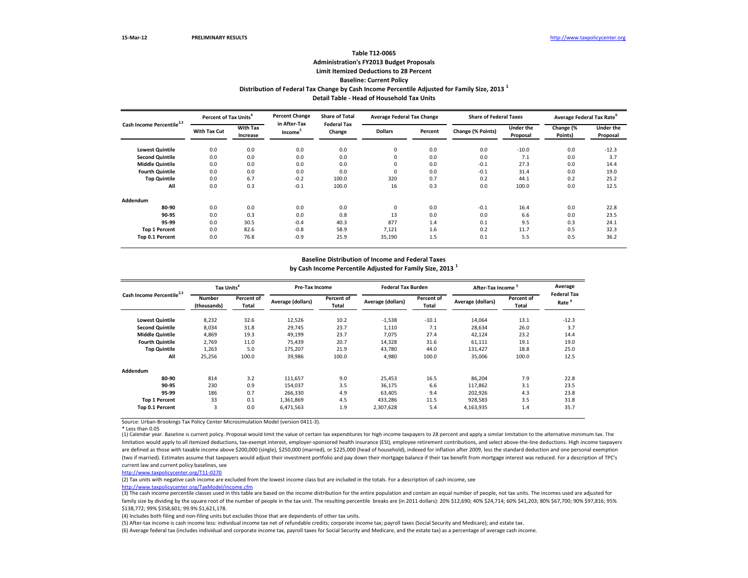\* Less than 0.05

#### **Baseline Distribution of Income and Federal Taxes**

|                                       | Percent of Tax Units <sup>4</sup> |                             | <b>Percent Change</b>               | <b>Share of Total</b><br><b>Federal Tax</b> | <b>Average Federal Tax Change</b> |         | <b>Share of Federal Taxes</b> |                              | Average Federal Tax Rate <sup>6</sup> |                              |
|---------------------------------------|-----------------------------------|-----------------------------|-------------------------------------|---------------------------------------------|-----------------------------------|---------|-------------------------------|------------------------------|---------------------------------------|------------------------------|
| Cash Income Percentile <sup>2,3</sup> | <b>With Tax Cut</b>               | <b>With Tax</b><br>Increase | in After-Tax<br>Income <sup>3</sup> | Change                                      | <b>Dollars</b>                    | Percent | Change (% Points)             | <b>Under the</b><br>Proposal | Change (%<br>Points)                  | <b>Under the</b><br>Proposal |
| <b>Lowest Quintile</b>                | 0.0                               | 0.0                         | 0.0                                 | 0.0                                         | 0                                 | 0.0     | 0.0                           | $-10.0$                      | 0.0                                   | $-12.3$                      |
| <b>Second Quintile</b>                | 0.0                               | 0.0                         | 0.0                                 | 0.0                                         | 0                                 | 0.0     | 0.0                           | 7.1                          | 0.0                                   | 3.7                          |
| <b>Middle Quintile</b>                | 0.0                               | 0.0                         | 0.0                                 | 0.0                                         | 0                                 | 0.0     | $-0.1$                        | 27.3                         | 0.0                                   | 14.4                         |
| <b>Fourth Quintile</b>                | 0.0                               | 0.0                         | 0.0                                 | 0.0                                         | 0                                 | 0.0     | $-0.1$                        | 31.4                         | 0.0                                   | 19.0                         |
| <b>Top Quintile</b>                   | 0.0                               | 6.7                         | $-0.2$                              | 100.0                                       | 320                               | 0.7     | 0.2                           | 44.1                         | 0.2                                   | 25.2                         |
| All                                   | 0.0                               | 0.3                         | $-0.1$                              | 100.0                                       | 16                                | 0.3     | 0.0                           | 100.0                        | 0.0                                   | 12.5                         |
| Addendum                              |                                   |                             |                                     |                                             |                                   |         |                               |                              |                                       |                              |
| 80-90                                 | 0.0                               | 0.0                         | 0.0                                 | 0.0                                         | 0                                 | 0.0     | $-0.1$                        | 16.4                         | 0.0                                   | 22.8                         |
| 90-95                                 | 0.0                               | 0.3                         | 0.0                                 | 0.8                                         | 13                                | 0.0     | 0.0                           | 6.6                          | 0.0                                   | 23.5                         |
| 95-99                                 | 0.0                               | 30.5                        | $-0.4$                              | 40.3                                        | 877                               | 1.4     | 0.1                           | 9.5                          | 0.3                                   | 24.1                         |
| <b>Top 1 Percent</b>                  | 0.0                               | 82.6                        | $-0.8$                              | 58.9                                        | 7,121                             | 1.6     | 0.2                           | 11.7                         | 0.5                                   | 32.3                         |
| Top 0.1 Percent                       | 0.0                               | 76.8                        | $-0.9$                              | 25.9                                        | 35,190                            | 1.5     | 0.1                           | 5.5                          | 0.5                                   | 36.2                         |

(1) Calendar year. Baseline is current policy. Proposal would limit the value of certain tax expenditures for high income taxpayers to 28 percent and apply a similar limitation to the alternative minimum tax. The limitation would apply to all itemized deductions, tax-exempt interest, employer-sponsored health insurance (ESI), employee retirement contributions, and select above-the-line deductions. High income taxpayers are defined as those with taxable income above \$200,000 (single), \$250,000 (married), or \$225,000 (head of household), indexed for inflation after 2009, less the standard deduction and one personal exemption (two if married). Estimates assume that taxpayers would adjust their investment portfolio and pay down their mortgage balance if their tax benefit from mortgage interest was reduced. For a description of TPC's current law and current policy baselines, see

(3) The cash income percentile classes used in this table are based on the income distribution for the entire population and contain an equal number of people, not tax units. The incomes used are adjusted for family size by dividing by the square root of the number of people in the tax unit. The resulting percentile breaks are (in 2011 dollars): 20% \$12,690; 40% \$24,714; 60% \$41,203; 80% \$67,700; 90% \$97,816; 95% \$138,772; 99% \$358,601; 99.9% \$1,621,178.

| Cash Income Percentile <sup>2,3</sup> | Tax Units <sup>4</sup>       |                     | <b>Pre-Tax Income</b> |                                   | <b>Federal Tax Burden</b> |                     | After-Tax Income <sup>5</sup> |                            | Average                                 |
|---------------------------------------|------------------------------|---------------------|-----------------------|-----------------------------------|---------------------------|---------------------|-------------------------------|----------------------------|-----------------------------------------|
|                                       | <b>Number</b><br>(thousands) | Percent of<br>Total | Average (dollars)     | <b>Percent of</b><br><b>Total</b> | Average (dollars)         | Percent of<br>Total | Average (dollars)             | Percent of<br><b>Total</b> | <b>Federal Tax</b><br>Rate <sup>6</sup> |
| <b>Lowest Quintile</b>                | 8,232                        | 32.6                | 12,526                | 10.2                              | $-1,538$                  | $-10.1$             | 14,064                        | 13.1                       | $-12.3$                                 |
| <b>Second Quintile</b>                | 8,034                        | 31.8                | 29,745                | 23.7                              | 1,110                     | 7.1                 | 28,634                        | 26.0                       | 3.7                                     |
| <b>Middle Quintile</b>                | 4,869                        | 19.3                | 49,199                | 23.7                              | 7,075                     | 27.4                | 42,124                        | 23.2                       | 14.4                                    |
| <b>Fourth Quintile</b>                | 2,769                        | 11.0                | 75,439                | 20.7                              | 14,328                    | 31.6                | 61,111                        | 19.1                       | 19.0                                    |
| <b>Top Quintile</b>                   | 1,263                        | 5.0                 | 175,207               | 21.9                              | 43,780                    | 44.0                | 131,427                       | 18.8                       | 25.0                                    |
| All                                   | 25,256                       | 100.0               | 39,986                | 100.0                             | 4,980                     | 100.0               | 35,006                        | 100.0                      | 12.5                                    |
| Addendum                              |                              |                     |                       |                                   |                           |                     |                               |                            |                                         |
| 80-90                                 | 814                          | 3.2                 | 111,657               | 9.0                               | 25,453                    | 16.5                | 86,204                        | 7.9                        | 22.8                                    |
| 90-95                                 | 230                          | 0.9                 | 154,037               | 3.5                               | 36,175                    | 6.6                 | 117,862                       | 3.1                        | 23.5                                    |
| 95-99                                 | 186                          | 0.7                 | 266,330               | 4.9                               | 63,405                    | 9.4                 | 202,926                       | 4.3                        | 23.8                                    |
| <b>Top 1 Percent</b>                  | 33                           | 0.1                 | 1,361,869             | 4.5                               | 433,286                   | 11.5                | 928,583                       | 3.5                        | 31.8                                    |
| <b>Top 0.1 Percent</b>                | 3                            | 0.0                 | 6,471,563             | 1.9                               | 2,307,628                 | 5.4                 | 4,163,935                     | 1.4                        | 35.7                                    |

**Detail Table - Head of Household Tax Units**

# **Distribution of Federal Tax Change by Cash Income Percentile Adjusted for Family Size, 2013 <sup>1</sup> Table T12-0065 Administration's FY2013 Budget Proposals Limit Itemized Deductions to 28 Percent Baseline: Current Policy**

**by Cash Income Percentile Adjusted for Family Size, 2013 <sup>1</sup>**

(2) Tax units with negative cash income are excluded from the lowest income class but are included in the totals. For a description of cash income, see [http://www.taxpolicycente](http://www.taxpolicycenter.org/TaxModel/income.cfm)r.org/TaxModel/income.cfm

(4) Includes both filing and non-filing units but excludes those that are dependents of other tax units.

(5) After-tax income is cash income less: individual income tax net of refundable credits; corporate income tax; payroll taxes (Social Security and Medicare); and estate tax. (6) Average federal tax (includes individual and corporate income tax, payroll taxes for Social Security and Medicare, and the estate tax) as a percentage of average cash income.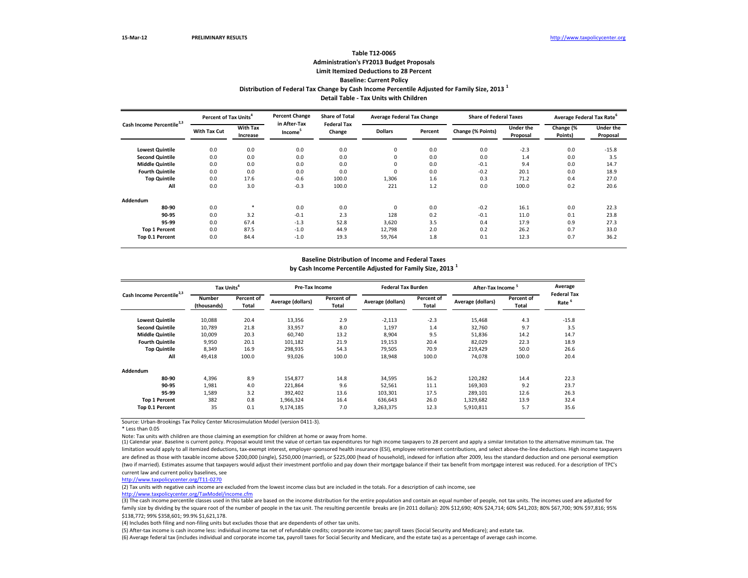\* Less than 0.05

Note: Tax units with children are those claiming an exemption for children at home or away from home.

| Cash Income Percentile <sup>2,3</sup> | Percent of Tax Units <sup>4</sup> |                             | <b>Percent Change</b>               | <b>Share of Total</b>        | <b>Average Federal Tax Change</b> |         | <b>Share of Federal Taxes</b> |                              | Average Federal Tax Rate <sup>b</sup> |                              |
|---------------------------------------|-----------------------------------|-----------------------------|-------------------------------------|------------------------------|-----------------------------------|---------|-------------------------------|------------------------------|---------------------------------------|------------------------------|
|                                       | <b>With Tax Cut</b>               | <b>With Tax</b><br>Increase | in After-Tax<br>Income <sup>5</sup> | <b>Federal Tax</b><br>Change | <b>Dollars</b>                    | Percent | Change (% Points)             | <b>Under the</b><br>Proposal | Change (%<br>Points)                  | <b>Under the</b><br>Proposal |
| <b>Lowest Quintile</b>                | 0.0                               | 0.0                         | 0.0                                 | 0.0                          | 0                                 | 0.0     | 0.0                           | $-2.3$                       | 0.0                                   | $-15.8$                      |
| <b>Second Quintile</b>                | 0.0                               | 0.0                         | 0.0                                 | 0.0                          | 0                                 | 0.0     | 0.0                           | 1.4                          | 0.0                                   | 3.5                          |
| <b>Middle Quintile</b>                | 0.0                               | 0.0                         | 0.0                                 | 0.0                          | 0                                 | 0.0     | $-0.1$                        | 9.4                          | 0.0                                   | 14.7                         |
| <b>Fourth Quintile</b>                | 0.0                               | 0.0                         | 0.0                                 | 0.0                          | 0                                 | 0.0     | $-0.2$                        | 20.1                         | 0.0                                   | 18.9                         |
| <b>Top Quintile</b>                   | 0.0                               | 17.6                        | $-0.6$                              | 100.0                        | 1,306                             | 1.6     | 0.3                           | 71.2                         | 0.4                                   | 27.0                         |
| All                                   | 0.0                               | 3.0                         | $-0.3$                              | 100.0                        | 221                               | 1.2     | 0.0                           | 100.0                        | 0.2                                   | 20.6                         |
| Addendum                              |                                   |                             |                                     |                              |                                   |         |                               |                              |                                       |                              |
| 80-90                                 | 0.0                               | $\ast$                      | 0.0                                 | 0.0                          | 0                                 | 0.0     | $-0.2$                        | 16.1                         | 0.0                                   | 22.3                         |
| 90-95                                 | 0.0                               | 3.2                         | $-0.1$                              | 2.3                          | 128                               | 0.2     | $-0.1$                        | 11.0                         | 0.1                                   | 23.8                         |
| 95-99                                 | 0.0                               | 67.4                        | $-1.3$                              | 52.8                         | 3,620                             | 3.5     | 0.4                           | 17.9                         | 0.9                                   | 27.3                         |
| <b>Top 1 Percent</b>                  | 0.0                               | 87.5                        | $-1.0$                              | 44.9                         | 12,798                            | 2.0     | 0.2                           | 26.2                         | 0.7                                   | 33.0                         |
| Top 0.1 Percent                       | 0.0                               | 84.4                        | $-1.0$                              | 19.3                         | 59,764                            | 1.8     | 0.1                           | 12.3                         | 0.7                                   | 36.2                         |

#### **Baseline Distribution of Income and Federal Taxes**

(3) The cash income percentile classes used in this table are based on the income distribution for the entire population and contain an equal number of people, not tax units. The incomes used are adjusted for family size by dividing by the square root of the number of people in the tax unit. The resulting percentile breaks are (in 2011 dollars): 20% \$12,690; 40% \$24,714; 60% \$41,203; 80% \$67,700; 90% \$97,816; 95% \$138,772; 99% \$358,601; 99.9% \$1,621,178.

(1) Calendar year. Baseline is current policy. Proposal would limit the value of certain tax expenditures for high income taxpayers to 28 percent and apply a similar limitation to the alternative minimum tax. The limitation would apply to all itemized deductions, tax-exempt interest, employer-sponsored health insurance (ESI), employee retirement contributions, and select above-the-line deductions. High income taxpayers are defined as those with taxable income above \$200,000 (single), \$250,000 (married), or \$225,000 (head of household), indexed for inflation after 2009, less the standard deduction and one personal exemption (two if married). Estimates assume that taxpayers would adjust their investment portfolio and pay down their mortgage balance if their tax benefit from mortgage interest was reduced. For a description of TPC's current law and current policy baselines, see

| Cash Income Percentile <sup>2,3</sup> | Tax Units <sup>4</sup>                       |       | <b>Pre-Tax Income</b>                           |       | <b>Federal Tax Burden</b>                |        | After-Tax Income <sup>5</sup>                   |       | Average<br><b>Federal Tax</b><br>Rate <sup>6</sup> |
|---------------------------------------|----------------------------------------------|-------|-------------------------------------------------|-------|------------------------------------------|--------|-------------------------------------------------|-------|----------------------------------------------------|
|                                       | Percent of<br>Number<br>(thousands)<br>Total |       | Percent of<br>Average (dollars)<br><b>Total</b> |       | Percent of<br>Average (dollars)<br>Total |        | Percent of<br>Average (dollars)<br><b>Total</b> |       |                                                    |
| <b>Lowest Quintile</b>                | 10,088                                       | 20.4  | 13,356                                          | 2.9   | $-2,113$                                 | $-2.3$ | 15,468                                          | 4.3   | $-15.8$                                            |
| <b>Second Quintile</b>                | 10,789                                       | 21.8  | 33,957                                          | 8.0   | 1,197                                    | 1.4    | 32,760                                          | 9.7   | 3.5                                                |
| <b>Middle Quintile</b>                | 10,009                                       | 20.3  | 60,740                                          | 13.2  | 8,904                                    | 9.5    | 51,836                                          | 14.2  | 14.7                                               |
| <b>Fourth Quintile</b>                | 9,950                                        | 20.1  | 101,182                                         | 21.9  | 19,153                                   | 20.4   | 82,029                                          | 22.3  | 18.9                                               |
| <b>Top Quintile</b>                   | 8,349                                        | 16.9  | 298,935                                         | 54.3  | 79,505                                   | 70.9   | 219,429                                         | 50.0  | 26.6                                               |
| All                                   | 49,418                                       | 100.0 | 93,026                                          | 100.0 | 18,948                                   | 100.0  | 74,078                                          | 100.0 | 20.4                                               |
| Addendum                              |                                              |       |                                                 |       |                                          |        |                                                 |       |                                                    |
| 80-90                                 | 4,396                                        | 8.9   | 154,877                                         | 14.8  | 34,595                                   | 16.2   | 120,282                                         | 14.4  | 22.3                                               |
| 90-95                                 | 1,981                                        | 4.0   | 221,864                                         | 9.6   | 52,561                                   | 11.1   | 169,303                                         | 9.2   | 23.7                                               |
| 95-99                                 | 1,589                                        | 3.2   | 392,402                                         | 13.6  | 103,301                                  | 17.5   | 289,101                                         | 12.6  | 26.3                                               |
| <b>Top 1 Percent</b>                  | 382                                          | 0.8   | 1,966,324                                       | 16.4  | 636,643                                  | 26.0   | 1,329,682                                       | 13.9  | 32.4                                               |
| <b>Top 0.1 Percent</b>                | 35                                           | 0.1   | 9,174,185                                       | 7.0   | 3,263,375                                | 12.3   | 5,910,811                                       | 5.7   | 35.6                                               |

**Detail Table - Tax Units with Children**

## **Distribution of Federal Tax Change by Cash Income Percentile Adjusted for Family Size, 2013 <sup>1</sup> Table T12-0065 Administration's FY2013 Budget Proposals Limit Itemized Deductions to 28 Percent Baseline: Current Policy**

**by Cash Income Percentile Adjusted for Family Size, 2013 <sup>1</sup>**

(2) Tax units with negative cash income are excluded from the lowest income class but are included in the totals. For a description of cash income, see

[http://www.taxpolicycente](http://www.taxpolicycenter.org/TaxModel/income.cfm)r.org/TaxModel/income.cfm

(4) Includes both filing and non-filing units but excludes those that are dependents of other tax units.

(5) After-tax income is cash income less: individual income tax net of refundable credits; corporate income tax; payroll taxes (Social Security and Medicare); and estate tax. (6) Average federal tax (includes individual and corporate income tax, payroll taxes for Social Security and Medicare, and the estate tax) as a percentage of average cash income.